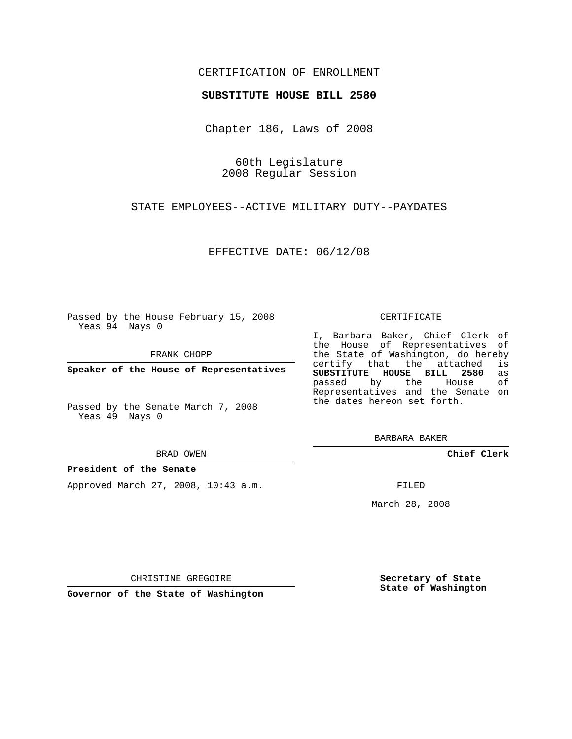# CERTIFICATION OF ENROLLMENT

## **SUBSTITUTE HOUSE BILL 2580**

Chapter 186, Laws of 2008

60th Legislature 2008 Regular Session

STATE EMPLOYEES--ACTIVE MILITARY DUTY--PAYDATES

EFFECTIVE DATE: 06/12/08

Passed by the House February 15, 2008 Yeas 94 Nays 0

FRANK CHOPP

**Speaker of the House of Representatives**

Passed by the Senate March 7, 2008 Yeas 49 Nays 0

#### BRAD OWEN

### **President of the Senate**

Approved March 27, 2008, 10:43 a.m.

#### CERTIFICATE

I, Barbara Baker, Chief Clerk of the House of Representatives of the State of Washington, do hereby<br>certify that the attached is certify that the attached **SUBSTITUTE HOUSE BILL 2580** as passed by the House Representatives and the Senate on the dates hereon set forth.

BARBARA BAKER

**Chief Clerk**

FILED

March 28, 2008

**Secretary of State State of Washington**

CHRISTINE GREGOIRE

**Governor of the State of Washington**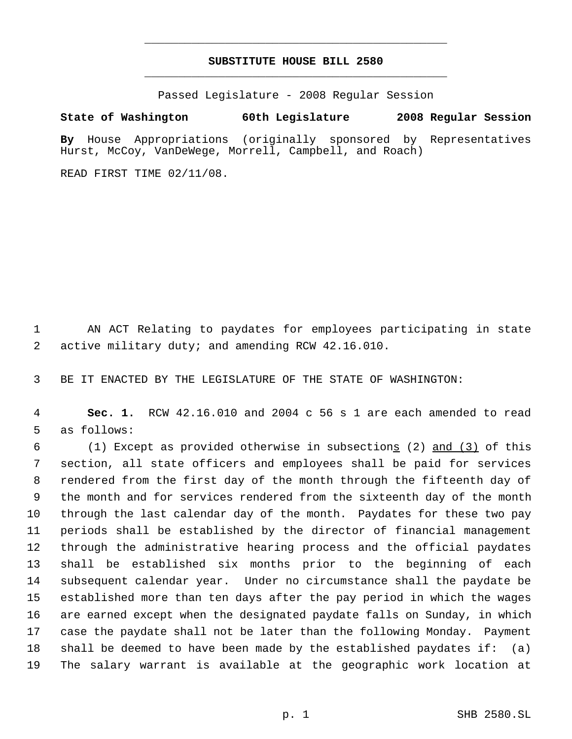# **SUBSTITUTE HOUSE BILL 2580** \_\_\_\_\_\_\_\_\_\_\_\_\_\_\_\_\_\_\_\_\_\_\_\_\_\_\_\_\_\_\_\_\_\_\_\_\_\_\_\_\_\_\_\_\_

\_\_\_\_\_\_\_\_\_\_\_\_\_\_\_\_\_\_\_\_\_\_\_\_\_\_\_\_\_\_\_\_\_\_\_\_\_\_\_\_\_\_\_\_\_

Passed Legislature - 2008 Regular Session

# **State of Washington 60th Legislature 2008 Regular Session**

**By** House Appropriations (originally sponsored by Representatives Hurst, McCoy, VanDeWege, Morrell, Campbell, and Roach)

READ FIRST TIME 02/11/08.

 AN ACT Relating to paydates for employees participating in state active military duty; and amending RCW 42.16.010.

BE IT ENACTED BY THE LEGISLATURE OF THE STATE OF WASHINGTON:

 **Sec. 1.** RCW 42.16.010 and 2004 c 56 s 1 are each amended to read as follows:

 (1) Except as provided otherwise in subsections (2) and (3) of this section, all state officers and employees shall be paid for services rendered from the first day of the month through the fifteenth day of the month and for services rendered from the sixteenth day of the month through the last calendar day of the month. Paydates for these two pay periods shall be established by the director of financial management through the administrative hearing process and the official paydates shall be established six months prior to the beginning of each subsequent calendar year. Under no circumstance shall the paydate be established more than ten days after the pay period in which the wages are earned except when the designated paydate falls on Sunday, in which case the paydate shall not be later than the following Monday. Payment shall be deemed to have been made by the established paydates if: (a) The salary warrant is available at the geographic work location at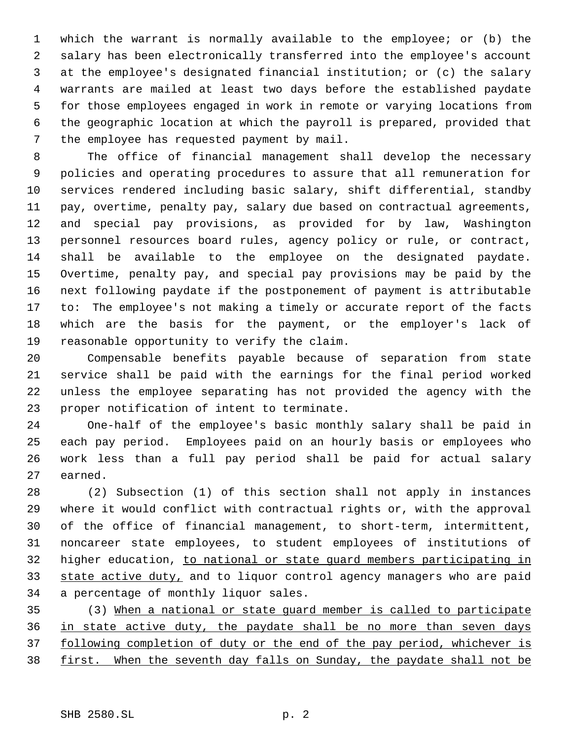which the warrant is normally available to the employee; or (b) the salary has been electronically transferred into the employee's account at the employee's designated financial institution; or (c) the salary warrants are mailed at least two days before the established paydate for those employees engaged in work in remote or varying locations from the geographic location at which the payroll is prepared, provided that the employee has requested payment by mail.

 The office of financial management shall develop the necessary policies and operating procedures to assure that all remuneration for services rendered including basic salary, shift differential, standby pay, overtime, penalty pay, salary due based on contractual agreements, and special pay provisions, as provided for by law, Washington personnel resources board rules, agency policy or rule, or contract, 14 shall be available to the employee on the designated paydate. Overtime, penalty pay, and special pay provisions may be paid by the next following paydate if the postponement of payment is attributable to: The employee's not making a timely or accurate report of the facts which are the basis for the payment, or the employer's lack of reasonable opportunity to verify the claim.

 Compensable benefits payable because of separation from state service shall be paid with the earnings for the final period worked unless the employee separating has not provided the agency with the proper notification of intent to terminate.

 One-half of the employee's basic monthly salary shall be paid in each pay period. Employees paid on an hourly basis or employees who work less than a full pay period shall be paid for actual salary earned.

 (2) Subsection (1) of this section shall not apply in instances where it would conflict with contractual rights or, with the approval of the office of financial management, to short-term, intermittent, noncareer state employees, to student employees of institutions of higher education, to national or state guard members participating in 33 state active duty, and to liquor control agency managers who are paid a percentage of monthly liquor sales.

 (3) When a national or state guard member is called to participate in state active duty, the paydate shall be no more than seven days 37 following completion of duty or the end of the pay period, whichever is 38 first. When the seventh day falls on Sunday, the paydate shall not be